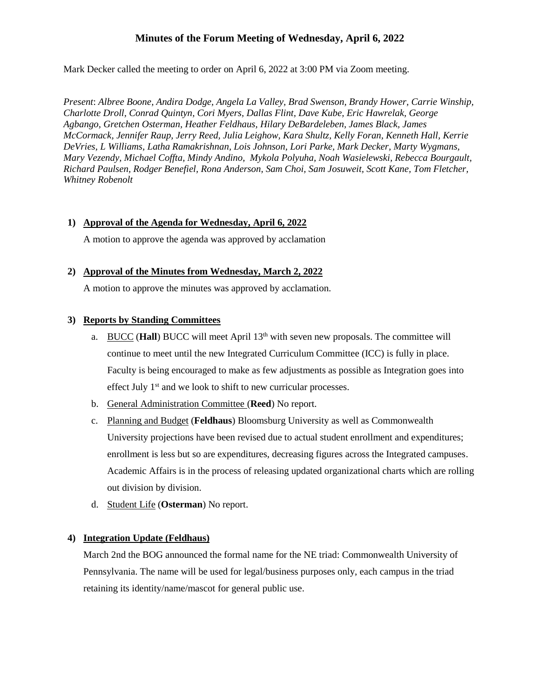# **Minutes of the Forum Meeting of Wednesday, April 6, 2022**

Mark Decker called the meeting to order on April 6, 2022 at 3:00 PM via Zoom meeting.

*Present*: *Albree Boone, Andira Dodge, Angela La Valley, Brad Swenson, Brandy Hower, Carrie Winship, Charlotte Droll, Conrad Quintyn, Cori Myers, Dallas Flint, Dave Kube, Eric Hawrelak, George Agbango, Gretchen Osterman, Heather Feldhaus, Hilary DeBardeleben, James Black, James McCormack, Jennifer Raup, Jerry Reed, Julia Leighow, Kara Shultz, Kelly Foran, Kenneth Hall, Kerrie DeVries, L Williams, Latha Ramakrishnan, Lois Johnson, Lori Parke, Mark Decker, Marty Wygmans, Mary Vezendy, Michael Coffta, Mindy Andino, Mykola Polyuha, Noah Wasielewski, Rebecca Bourgault, Richard Paulsen, Rodger Benefiel, Rona Anderson, Sam Choi, Sam Josuweit, Scott Kane, Tom Fletcher, Whitney Robenolt*

#### **1) Approval of the Agenda for Wednesday, April 6, 2022**

A motion to approve the agenda was approved by acclamation

#### **2) Approval of the Minutes from Wednesday, March 2, 2022**

A motion to approve the minutes was approved by acclamation.

#### **3) Reports by Standing Committees**

- a. BUCC (**Hall**) BUCC will meet April 13<sup>th</sup> with seven new proposals. The committee will continue to meet until the new Integrated Curriculum Committee (ICC) is fully in place. Faculty is being encouraged to make as few adjustments as possible as Integration goes into effect July 1<sup>st</sup> and we look to shift to new curricular processes.
- b. General Administration Committee (**Reed**) No report.
- c. Planning and Budget (**Feldhaus**) Bloomsburg University as well as Commonwealth University projections have been revised due to actual student enrollment and expenditures; enrollment is less but so are expenditures, decreasing figures across the Integrated campuses. Academic Affairs is in the process of releasing updated organizational charts which are rolling out division by division.
- d. Student Life (**Osterman**) No report.

#### **4) Integration Update (Feldhaus)**

March 2nd the BOG announced the formal name for the NE triad: Commonwealth University of Pennsylvania. The name will be used for legal/business purposes only, each campus in the triad retaining its identity/name/mascot for general public use.